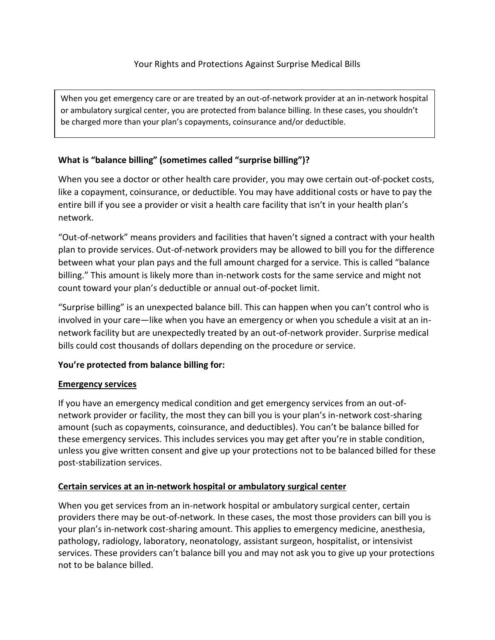When you get emergency care or are treated by an out-of-network provider at an in-network hospital or ambulatory surgical center, you are protected from balance billing. In these cases, you shouldn't be charged more than your plan's copayments, coinsurance and/or deductible.

# **What is "balance billing" (sometimes called "surprise billing")?**

When you see a doctor or other health care provider, you may owe certain out-of-pocket costs, like a copayment, coinsurance, or deductible. You may have additional costs or have to pay the entire bill if you see a provider or visit a health care facility that isn't in your health plan's network.

"Out-of-network" means providers and facilities that haven't signed a contract with your health plan to provide services. Out-of-network providers may be allowed to bill you for the difference between what your plan pays and the full amount charged for a service. This is called "balance billing." This amount is likely more than in-network costs for the same service and might not count toward your plan's deductible or annual out-of-pocket limit.

"Surprise billing" is an unexpected balance bill. This can happen when you can't control who is involved in your care—like when you have an emergency or when you schedule a visit at an innetwork facility but are unexpectedly treated by an out-of-network provider. Surprise medical bills could cost thousands of dollars depending on the procedure or service.

# **You're protected from balance billing for:**

# **Emergency services**

If you have an emergency medical condition and get emergency services from an out-ofnetwork provider or facility, the most they can bill you is your plan's in-network cost-sharing amount (such as copayments, coinsurance, and deductibles). You can't be balance billed for these emergency services. This includes services you may get after you're in stable condition, unless you give written consent and give up your protections not to be balanced billed for these post-stabilization services.

# **Certain services at an in-network hospital or ambulatory surgical center**

When you get services from an in-network hospital or ambulatory surgical center, certain providers there may be out-of-network. In these cases, the most those providers can bill you is your plan's in-network cost-sharing amount. This applies to emergency medicine, anesthesia, pathology, radiology, laboratory, neonatology, assistant surgeon, hospitalist, or intensivist services. These providers can't balance bill you and may not ask you to give up your protections not to be balance billed.